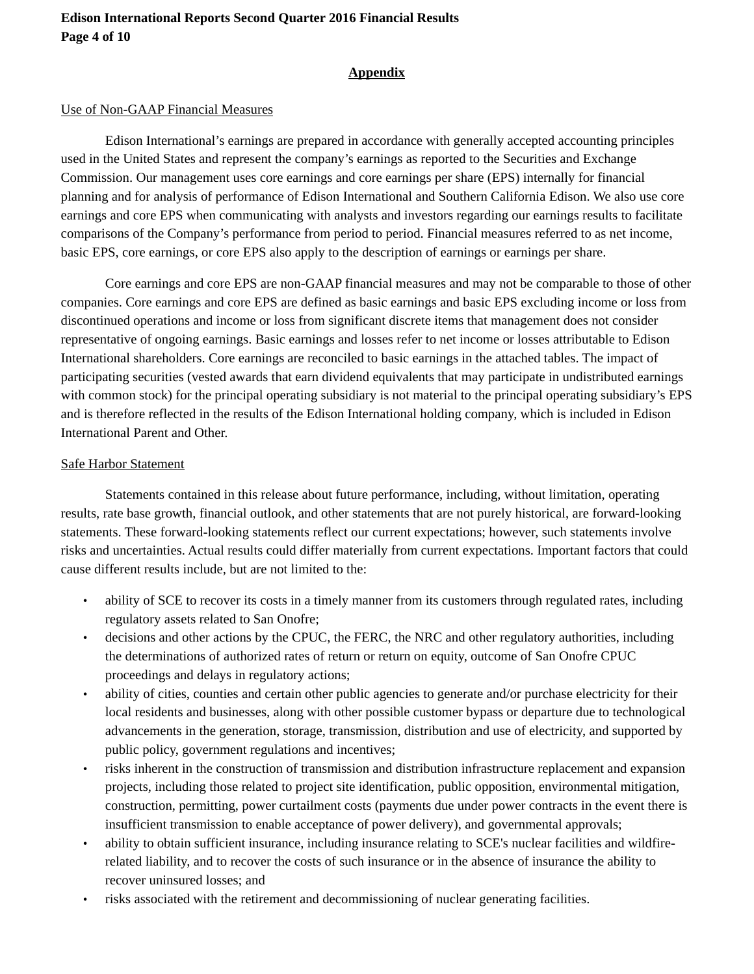#### **Appendix**

#### Use of Non-GAAP Financial Measures

Edison International's earnings are prepared in accordance with generally accepted accounting principles used in the United States and represent the company's earnings as reported to the Securities and Exchange Commission. Our management uses core earnings and core earnings per share (EPS) internally for financial planning and for analysis of performance of Edison International and Southern California Edison. We also use core earnings and core EPS when communicating with analysts and investors regarding our earnings results to facilitate comparisons of the Company's performance from period to period. Financial measures referred to as net income, basic EPS, core earnings, or core EPS also apply to the description of earnings or earnings per share.

Core earnings and core EPS are non-GAAP financial measures and may not be comparable to those of other companies. Core earnings and core EPS are defined as basic earnings and basic EPS excluding income or loss from discontinued operations and income or loss from significant discrete items that management does not consider representative of ongoing earnings. Basic earnings and losses refer to net income or losses attributable to Edison International shareholders. Core earnings are reconciled to basic earnings in the attached tables. The impact of participating securities (vested awards that earn dividend equivalents that may participate in undistributed earnings with common stock) for the principal operating subsidiary is not material to the principal operating subsidiary's EPS and is therefore reflected in the results of the Edison International holding company, which is included in Edison International Parent and Other.

#### Safe Harbor Statement

Statements contained in this release about future performance, including, without limitation, operating results, rate base growth, financial outlook, and other statements that are not purely historical, are forward-looking statements. These forward-looking statements reflect our current expectations; however, such statements involve risks and uncertainties. Actual results could differ materially from current expectations. Important factors that could cause different results include, but are not limited to the:

- ability of SCE to recover its costs in a timely manner from its customers through regulated rates, including regulatory assets related to San Onofre;
- decisions and other actions by the CPUC, the FERC, the NRC and other regulatory authorities, including the determinations of authorized rates of return or return on equity, outcome of San Onofre CPUC proceedings and delays in regulatory actions;
- ability of cities, counties and certain other public agencies to generate and/or purchase electricity for their local residents and businesses, along with other possible customer bypass or departure due to technological advancements in the generation, storage, transmission, distribution and use of electricity, and supported by public policy, government regulations and incentives;
- risks inherent in the construction of transmission and distribution infrastructure replacement and expansion projects, including those related to project site identification, public opposition, environmental mitigation, construction, permitting, power curtailment costs (payments due under power contracts in the event there is insufficient transmission to enable acceptance of power delivery), and governmental approvals;
- ability to obtain sufficient insurance, including insurance relating to SCE's nuclear facilities and wildfirerelated liability, and to recover the costs of such insurance or in the absence of insurance the ability to recover uninsured losses; and
- risks associated with the retirement and decommissioning of nuclear generating facilities.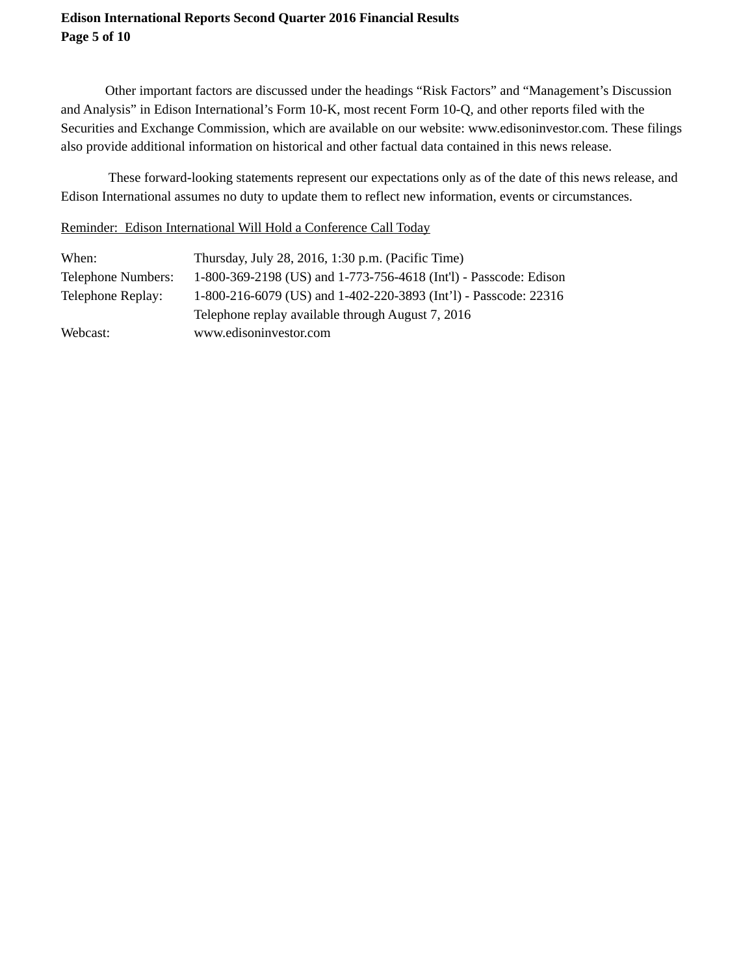### **Edison International Reports Second Quarter 2016 Financial Results Page 5 of 10**

Other important factors are discussed under the headings "Risk Factors" and "Management's Discussion and Analysis" in Edison International's Form 10-K, most recent Form 10-Q, and other reports filed with the Securities and Exchange Commission, which are available on our website: www.edisoninvestor.com. These filings also provide additional information on historical and other factual data contained in this news release.

 These forward-looking statements represent our expectations only as of the date of this news release, and Edison International assumes no duty to update them to reflect new information, events or circumstances.

#### Reminder: Edison International Will Hold a Conference Call Today

| When:                     | Thursday, July 28, 2016, 1:30 p.m. (Pacific Time)                 |
|---------------------------|-------------------------------------------------------------------|
| <b>Telephone Numbers:</b> | 1-800-369-2198 (US) and 1-773-756-4618 (Int'l) - Passcode: Edison |
| Telephone Replay:         | 1-800-216-6079 (US) and 1-402-220-3893 (Int'l) - Passcode: 22316  |
|                           | Telephone replay available through August 7, 2016                 |
| Webcast:                  | www.edisoninvestor.com                                            |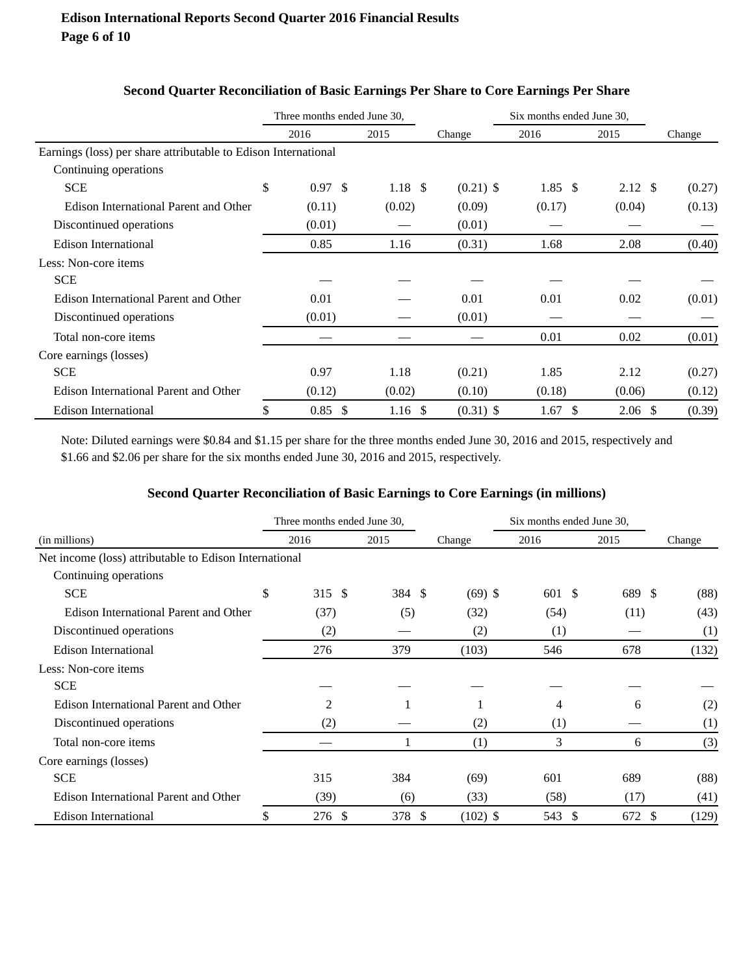|                                                                | Three months ended June 30, |              |             | Six months ended June 30, |                    |        |
|----------------------------------------------------------------|-----------------------------|--------------|-------------|---------------------------|--------------------|--------|
|                                                                | 2016                        | 2015         | Change      | 2016                      | 2015               | Change |
| Earnings (loss) per share attributable to Edison International |                             |              |             |                           |                    |        |
| Continuing operations                                          |                             |              |             |                           |                    |        |
| <b>SCE</b>                                                     | \$<br>$0.97 \text{ }$ \$    | 1.18S        | $(0.21)$ \$ | $1.85\;$ \$               | $2.12 \text{ }$ \$ | (0.27) |
| Edison International Parent and Other                          | (0.11)                      | (0.02)       | (0.09)      | (0.17)                    | (0.04)             | (0.13) |
| Discontinued operations                                        | (0.01)                      |              | (0.01)      |                           |                    |        |
| Edison International                                           | 0.85                        | 1.16         | (0.31)      | 1.68                      | 2.08               | (0.40) |
| Less: Non-core items                                           |                             |              |             |                           |                    |        |
| <b>SCE</b>                                                     |                             |              |             |                           |                    |        |
| Edison International Parent and Other                          | 0.01                        |              | 0.01        | 0.01                      | 0.02               | (0.01) |
| Discontinued operations                                        | (0.01)                      |              | (0.01)      |                           |                    |        |
| Total non-core items                                           |                             |              |             | 0.01                      | 0.02               | (0.01) |
| Core earnings (losses)                                         |                             |              |             |                           |                    |        |
| <b>SCE</b>                                                     | 0.97                        | 1.18         | (0.21)      | 1.85                      | 2.12               | (0.27) |
| Edison International Parent and Other                          | (0.12)                      | (0.02)       | (0.10)      | (0.18)                    | (0.06)             | (0.12) |
| <b>Edison International</b>                                    | 0.85<br><sup>\$</sup>       | 1.16<br>- \$ | $(0.31)$ \$ | 1.67<br>-S                | $2.06 \text{ }$ \$ | (0.39) |

## **Second Quarter Reconciliation of Basic Earnings Per Share to Core Earnings Per Share**

Note: Diluted earnings were \$0.84 and \$1.15 per share for the three months ended June 30, 2016 and 2015, respectively and \$1.66 and \$2.06 per share for the six months ended June 30, 2016 and 2015, respectively.

#### **Second Quarter Reconciliation of Basic Earnings to Core Earnings (in millions)**

|                                                        | Three months ended June 30, |        |                      |            | Six months ended June 30, |             |        |  |
|--------------------------------------------------------|-----------------------------|--------|----------------------|------------|---------------------------|-------------|--------|--|
| (in millions)                                          |                             | 2016   | 2015                 | Change     | 2016                      | 2015        | Change |  |
| Net income (loss) attributable to Edison International |                             |        |                      |            |                           |             |        |  |
| Continuing operations                                  |                             |        |                      |            |                           |             |        |  |
| <b>SCE</b>                                             | \$                          | 315 \$ | 384 \$               | $(69)$ \$  | 601 \$                    | 689 \$      | (88)   |  |
| Edison International Parent and Other                  |                             | (37)   | (5)                  | (32)       | (54)                      | (11)        | (43)   |  |
| Discontinued operations                                |                             | (2)    |                      | (2)        | (1)                       |             | (1)    |  |
| <b>Edison International</b>                            |                             | 276    | 379                  | (103)      | 546                       | 678         | (132)  |  |
| Less: Non-core items                                   |                             |        |                      |            |                           |             |        |  |
| <b>SCE</b>                                             |                             |        |                      |            |                           |             |        |  |
| Edison International Parent and Other                  |                             | 2      | 1                    |            | 4                         | 6           | (2)    |  |
| Discontinued operations                                |                             | (2)    |                      | (2)        | (1)                       |             | (1)    |  |
| Total non-core items                                   |                             |        |                      | (1)        | 3                         | 6           | (3)    |  |
| Core earnings (losses)                                 |                             |        |                      |            |                           |             |        |  |
| <b>SCE</b>                                             |                             | 315    | 384                  | (69)       | 601                       | 689         | (88)   |  |
| Edison International Parent and Other                  |                             | (39)   | (6)                  | (33)       | (58)                      | (17)        | (41)   |  |
| Edison International                                   | \$                          | 276 \$ | 378<br>$\mathcal{S}$ | $(102)$ \$ | 543<br><sup>\$</sup>      | 672<br>- \$ | (129)  |  |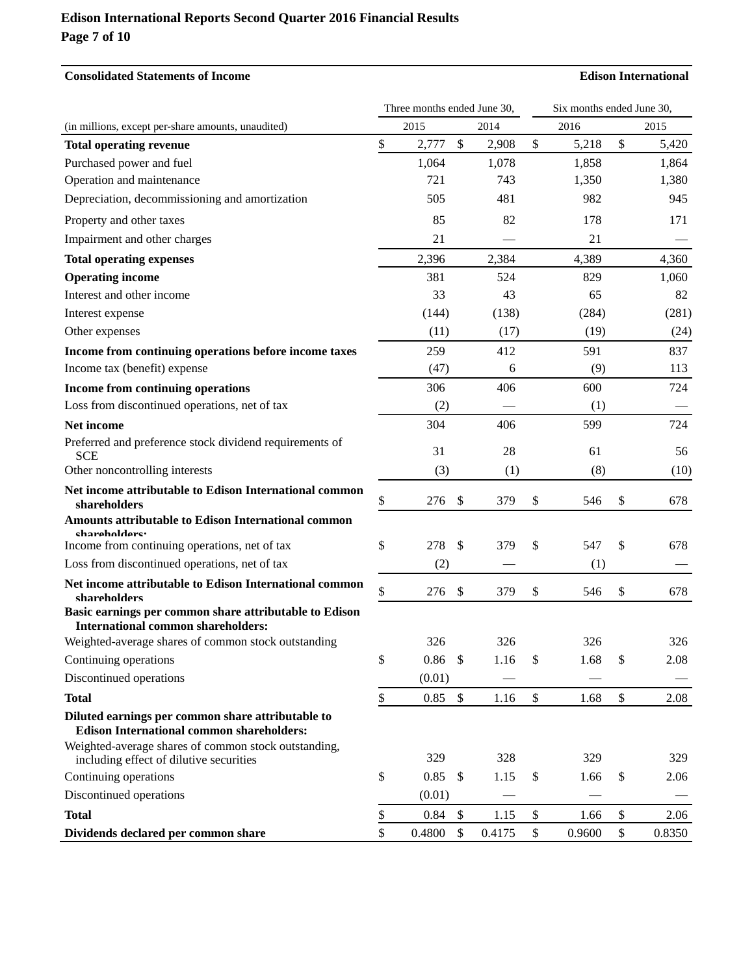### **Edison International Reports Second Quarter 2016 Financial Results Page 7 of 10**

## **Consolidated Statements of Income Edison International** Three months ended June 30, Six months ended June 30, (in millions, except per-share amounts, unaudited) 2015 2014 2016 2015 **Total operating revenue 8 5,420 \$ 2,777 \$ 2,908 \$ 5,218 \$ 5,420** Purchased power and fuel 1,064 1,078 1,858 1,864 Operation and maintenance  $\begin{array}{ccc}721 & 743 & 1,350 & 1,380 \end{array}$ Depreciation, decommissioning and amortization 505 481 982 945 Property and other taxes and the taxes and the set of the set of the set of the set of the set of the set of the set of the set of the set of the set of the set of the set of the set of the set of the set of the set of the Impairment and other charges 21 — 21 **Total operating expenses** 2,396 2,384 4,389 4,360 **Operating income 381** 524 829 1,060 Interest and other income 33 43 65 82 Interest expense (144) (138) (284) (281) Other expenses (11)  $(17)$   $(19)$   $(24)$ **Income from continuing operations before income taxes**  $259$  412 591 837 Income tax (benefit) expense  $(47)$  6 (9) 113 **Income from continuing operations 106** 500 600 724 Loss from discontinued operations, net of tax (2) (2) (1) **Net income** 304 406 599 724 Preferred and preference stock dividend requirements of SCE 61 56 Other noncontrolling interests  $(3)$   $(1)$   $(8)$   $(10)$ **Net income attributable to Edison International common shareholders 8 276** \$ **546** \$ **678 Amounts attributable to Edison International common shareholders:** Income from continuing operations, net of tax  $\frac{1}{278}$   $\frac{1}{379}$   $\frac{1}{379}$   $\frac{1}{378}$   $\frac{1}{378}$   $\frac{1}{378}$   $\frac{1}{378}$   $\frac{1}{378}$   $\frac{1}{378}$   $\frac{1}{378}$   $\frac{1}{378}$   $\frac{1}{378}$   $\frac{1}{378}$   $\frac{1}{378}$   $\frac{1}{3$ Loss from discontinued operations, net of tax (2) – (1) **Net income attributable to Edison International common shareholders** \$ 276 \$ 379 \$ 546 \$ 678 **Basic earnings per common share attributable to Edison International common shareholders:**  Weighted-average shares of common stock outstanding 326 326 326 326 326 326 Continuing operations  $\qquad \qquad$  \$ 0.86 \$ 1.16 \$ 1.68 \$ 2.08  $Discontinued\ operations$   $(0.01)$ **Total 8 1.68 \$ 1.68 \$ 2.08 Diluted earnings per common share attributable to Edison International common shareholders:** Weighted-average shares of common stock outstanding, including effect of dilutive securities 329 328 329 329 329 329 Continuing operations  $\qquad \qquad$  \$ 0.85 \$ 1.15 \$ 1.66 \$ 2.06  $Discontinued\ operations$   $(0.01)$ **Total 8 1.15 \$** 1.66 \$ 2.06 **Dividends declared per common share \$** 0.4800 \, \$ 0.4175 \, \$ 0.9600 \, \$ 0.8350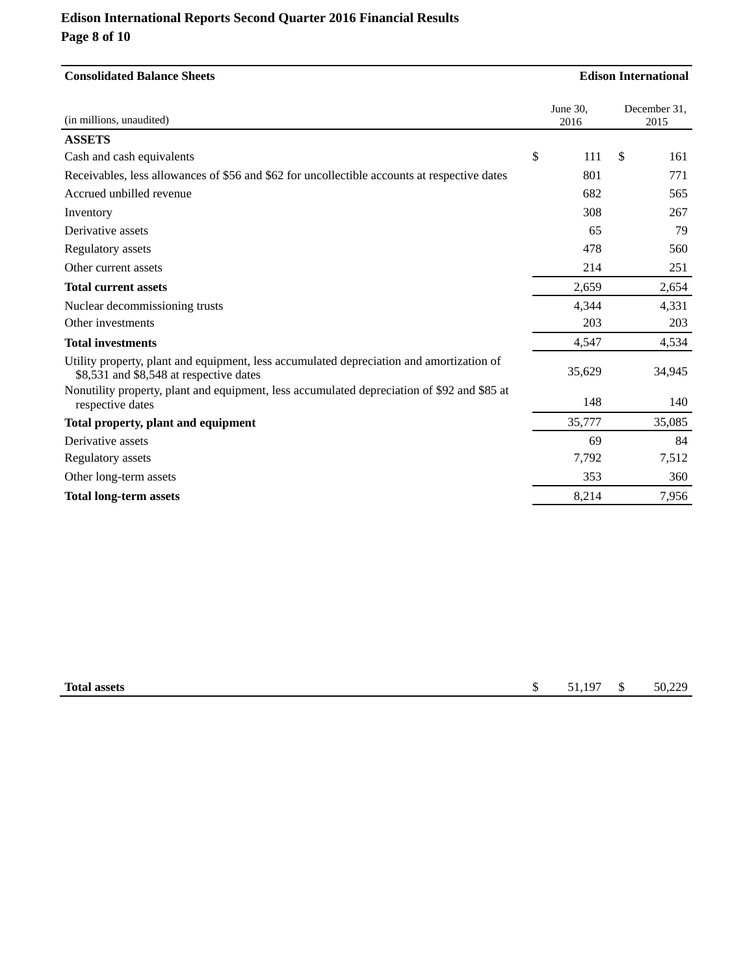# **Edison International Reports Second Quarter 2016 Financial Results Page 8 of 10**

| <b>Consolidated Balance Sheets</b>                                                                                                  |    |                  | <b>Edison International</b> |                      |  |  |
|-------------------------------------------------------------------------------------------------------------------------------------|----|------------------|-----------------------------|----------------------|--|--|
| (in millions, unaudited)                                                                                                            |    | June 30,<br>2016 |                             | December 31,<br>2015 |  |  |
| <b>ASSETS</b>                                                                                                                       |    |                  |                             |                      |  |  |
| Cash and cash equivalents                                                                                                           | \$ | 111              | \$                          | 161                  |  |  |
| Receivables, less allowances of \$56 and \$62 for uncollectible accounts at respective dates                                        |    | 801              |                             | 771                  |  |  |
| Accrued unbilled revenue                                                                                                            |    | 682              |                             | 565                  |  |  |
| Inventory                                                                                                                           |    | 308              |                             | 267                  |  |  |
| Derivative assets                                                                                                                   |    | 65               |                             | 79                   |  |  |
| Regulatory assets                                                                                                                   |    | 478              |                             | 560                  |  |  |
| Other current assets                                                                                                                |    | 214              |                             | 251                  |  |  |
| <b>Total current assets</b>                                                                                                         |    | 2,659            |                             | 2,654                |  |  |
| Nuclear decommissioning trusts                                                                                                      |    | 4,344            |                             | 4,331                |  |  |
| Other investments                                                                                                                   |    | 203              |                             | 203                  |  |  |
| <b>Total investments</b>                                                                                                            |    | 4,547            |                             | 4,534                |  |  |
| Utility property, plant and equipment, less accumulated depreciation and amortization of<br>\$8,531 and \$8,548 at respective dates |    | 35,629           |                             | 34,945               |  |  |
| Nonutility property, plant and equipment, less accumulated depreciation of \$92 and \$85 at<br>respective dates                     |    | 148              |                             | 140                  |  |  |
| Total property, plant and equipment                                                                                                 |    | 35,777           |                             | 35,085               |  |  |
| Derivative assets                                                                                                                   |    | 69               |                             | 84                   |  |  |
| Regulatory assets                                                                                                                   |    | 7,792            |                             | 7,512                |  |  |
| Other long-term assets                                                                                                              |    | 353              |                             | 360                  |  |  |
| <b>Total long-term assets</b>                                                                                                       |    | 8,214            |                             | 7,956                |  |  |

| <b>Total assets</b> | . | .107 | 11 | 220<br>$\sim$ $\sim$<br>70.22 |
|---------------------|---|------|----|-------------------------------|
|                     |   |      |    |                               |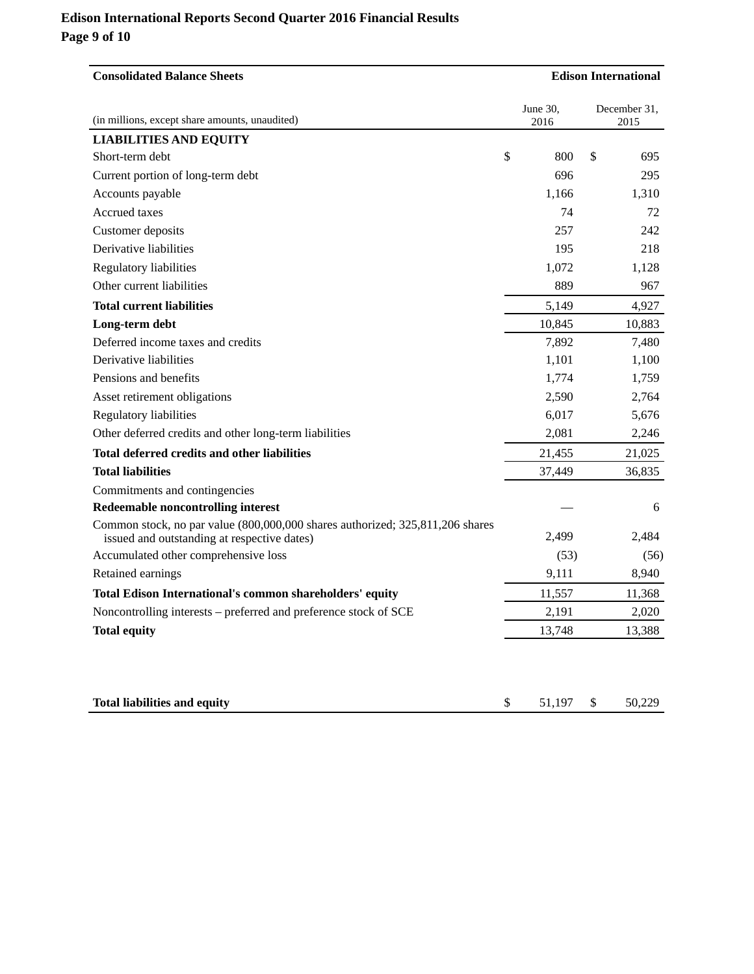## **Edison International Reports Second Quarter 2016 Financial Results Page 9 of 10**

| <b>Consolidated Balance Sheets</b>                                                                                           | <b>Edison International</b> |                      |  |  |
|------------------------------------------------------------------------------------------------------------------------------|-----------------------------|----------------------|--|--|
| (in millions, except share amounts, unaudited)                                                                               | June 30,<br>2016            | December 31,<br>2015 |  |  |
| <b>LIABILITIES AND EQUITY</b>                                                                                                |                             |                      |  |  |
| \$<br>Short-term debt                                                                                                        | 800                         | \$<br>695            |  |  |
| Current portion of long-term debt                                                                                            | 696                         | 295                  |  |  |
| Accounts payable                                                                                                             | 1,166                       | 1,310                |  |  |
| Accrued taxes                                                                                                                | 74                          | 72                   |  |  |
| Customer deposits                                                                                                            | 257                         | 242                  |  |  |
| Derivative liabilities                                                                                                       | 195                         | 218                  |  |  |
| Regulatory liabilities                                                                                                       | 1,072                       | 1,128                |  |  |
| Other current liabilities                                                                                                    | 889                         | 967                  |  |  |
| <b>Total current liabilities</b>                                                                                             | 5,149                       | 4,927                |  |  |
| Long-term debt                                                                                                               | 10,845                      | 10,883               |  |  |
| Deferred income taxes and credits                                                                                            | 7,892                       | 7,480                |  |  |
| Derivative liabilities                                                                                                       | 1,101                       | 1,100                |  |  |
| Pensions and benefits                                                                                                        | 1,774                       | 1,759                |  |  |
| Asset retirement obligations                                                                                                 | 2,590                       | 2,764                |  |  |
| Regulatory liabilities                                                                                                       | 6,017                       | 5,676                |  |  |
| Other deferred credits and other long-term liabilities                                                                       | 2,081                       | 2,246                |  |  |
| Total deferred credits and other liabilities                                                                                 | 21,455                      | 21,025               |  |  |
| <b>Total liabilities</b>                                                                                                     | 37,449                      | 36,835               |  |  |
| Commitments and contingencies                                                                                                |                             |                      |  |  |
| Redeemable noncontrolling interest                                                                                           |                             | 6                    |  |  |
| Common stock, no par value (800,000,000 shares authorized; 325,811,206 shares<br>issued and outstanding at respective dates) | 2,499                       | 2,484                |  |  |
| Accumulated other comprehensive loss                                                                                         | (53)                        | (56)                 |  |  |
| Retained earnings                                                                                                            | 9,111                       | 8,940                |  |  |
| Total Edison International's common shareholders' equity                                                                     | 11,557                      | 11,368               |  |  |
| Noncontrolling interests - preferred and preference stock of SCE                                                             | 2,191                       | 2,020                |  |  |
| <b>Total equity</b>                                                                                                          | 13,748                      | 13,388               |  |  |
| <b>Total liabilities and equity</b><br>\$                                                                                    | 51,197                      | \$<br>50,229         |  |  |